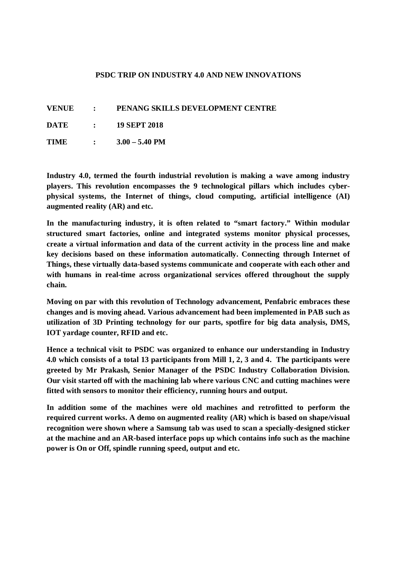## **PSDC TRIP ON INDUSTRY 4.0 AND NEW INNOVATIONS**

| <b>VENUE</b> | PENANG SKILLS DEVELOPMENT CENTRE |
|--------------|----------------------------------|
| <b>DATE</b>  | <b>19 SEPT 2018</b>              |

**TIME : 3.00 – 5.40 PM**

**Industry 4.0, termed the fourth industrial revolution is making a wave among industry players. This revolution encompasses the 9 technological pillars which includes cyberphysical systems, the Internet of things, cloud computing, artificial intelligence (AI) augmented reality (AR) and etc.** 

**In the manufacturing industry, it is often related to "smart factory." Within modular structured smart factories, online and integrated systems monitor physical processes, create a virtual information and data of the current activity in the process line and make key decisions based on these information automatically. Connecting through Internet of Things, these virtually data-based systems communicate and cooperate with each other and with humans in real-time across organizational services offered throughout the supply chain.**

**Moving on par with this revolution of Technology advancement, Penfabric embraces these changes and is moving ahead. Various advancement had been implemented in PAB such as utilization of 3D Printing technology for our parts, spotfire for big data analysis, DMS, IOT yardage counter, RFID and etc.**

**Hence a technical visit to PSDC was organized to enhance our understanding in Industry 4.0 which consists of a total 13 participants from Mill 1, 2, 3 and 4. The participants were greeted by Mr Prakash, Senior Manager of the PSDC Industry Collaboration Division. Our visit started off with the machining lab where various CNC and cutting machines were fitted with sensors to monitor their efficiency, running hours and output.** 

**In addition some of the machines were old machines and retrofitted to perform the required current works. A demo on augmented reality (AR) which is based on shape/visual recognition were shown where a Samsung tab was used to scan a specially-designed sticker at the machine and an AR-based interface pops up which contains info such as the machine power is On or Off, spindle running speed, output and etc.**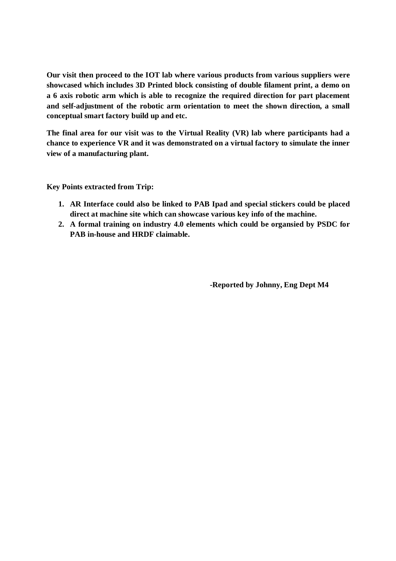**Our visit then proceed to the IOT lab where various products from various suppliers were showcased which includes 3D Printed block consisting of double filament print, a demo on a 6 axis robotic arm which is able to recognize the required direction for part placement and self-adjustment of the robotic arm orientation to meet the shown direction, a small conceptual smart factory build up and etc.**

**The final area for our visit was to the Virtual Reality (VR) lab where participants had a chance to experience VR and it was demonstrated on a virtual factory to simulate the inner view of a manufacturing plant.**

**Key Points extracted from Trip:**

- **1. AR Interface could also be linked to PAB Ipad and special stickers could be placed direct at machine site which can showcase various key info of the machine.**
- **2. A formal training on industry 4.0 elements which could be organsied by PSDC for PAB in-house and HRDF claimable.**

**-Reported by Johnny, Eng Dept M4**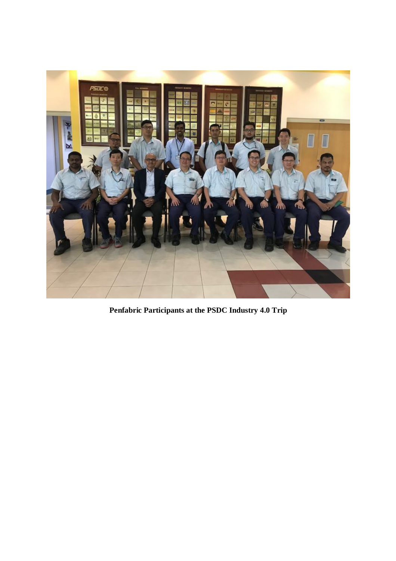

**Penfabric Participants at the PSDC Industry 4.0 Trip**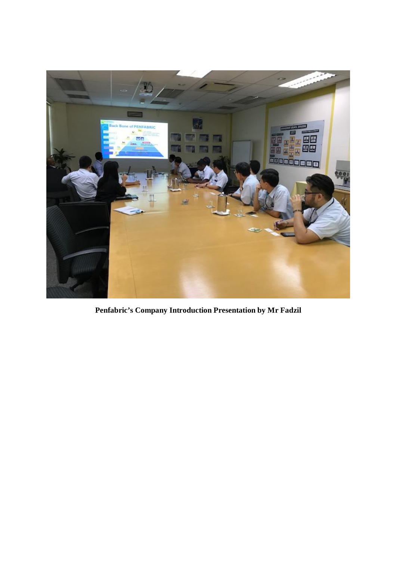

**Penfabric's Company Introduction Presentation by Mr Fadzil**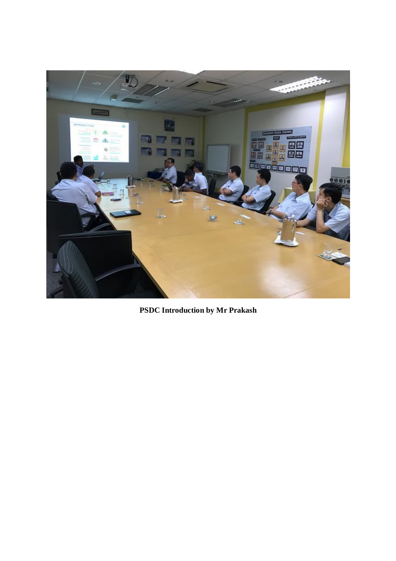

**PSDC Introduction by Mr Prakash**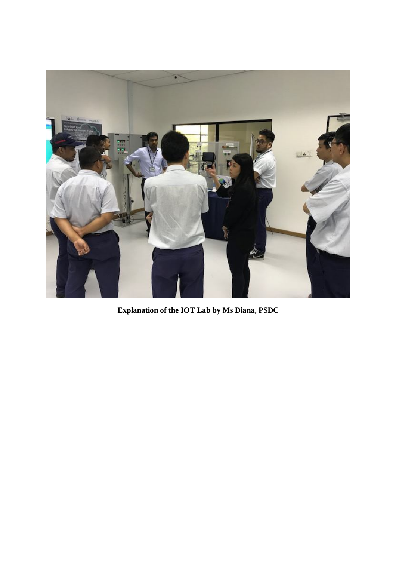

**Explanation of the IOT Lab by Ms Diana, PSDC**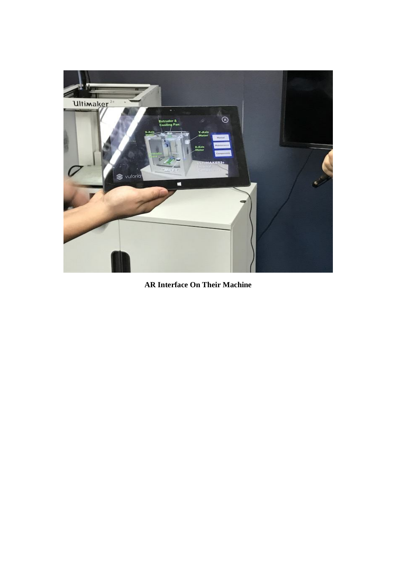

**AR Interface On Their Machine**